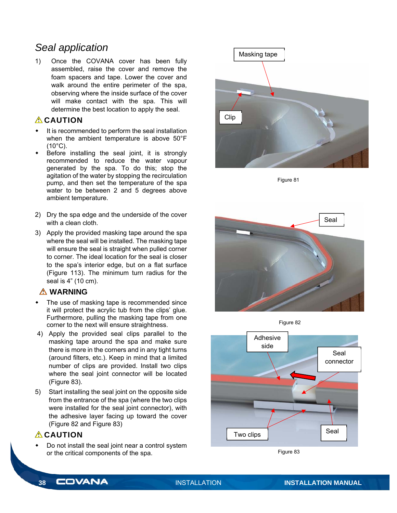# *Seal application*

1) Once the COVANA cover has been fully assembled, raise the cover and remove the foam spacers and tape. Lower the cover and walk around the entire perimeter of the spa, observing where the inside surface of the cover will make contact with the spa. This will determine the best location to apply the seal.

## **CAUTION**

- It is recommended to perform the seal installation when the ambient temperature is above 50°F (10°C).
- Before installing the seal joint, it is strongly recommended to reduce the water vapour generated by the spa. To do this; stop the agitation of the water by stopping the recirculation pump, and then set the temperature of the spa water to be between 2 and 5 degrees above ambient temperature.
- 2) Dry the spa edge and the underside of the cover with a clean cloth.
- 3) Apply the provided masking tape around the spa where the seal will be installed. The masking tape will ensure the seal is straight when pulled corner to corner. The ideal location for the seal is closer to the spa's interior edge, but on a flat surface (Figure 113). The minimum turn radius for the seal is 4" (10 cm).

#### **WARNING**

- The use of masking tape is recommended since it will protect the acrylic tub from the clips' glue. Furthermore, pulling the masking tape from one corner to the next will ensure straightness.
- 4) Apply the provided seal clips parallel to the masking tape around the spa and make sure there is more in the corners and in any tight turns (around filters, etc.). Keep in mind that a limited number of clips are provided. Install two clips where the seal joint connector will be located (Figure 83).
- 5) Start installing the seal joint on the opposite side from the entrance of the spa (where the two clips were installed for the seal joint connector), with the adhesive layer facing up toward the cover (Figure 82 and Figure 83)

## *A* CAUTION

 Do not install the seal joint near a control system or the critical components of the spa.



Figure 81



Figure 82



Figure 83